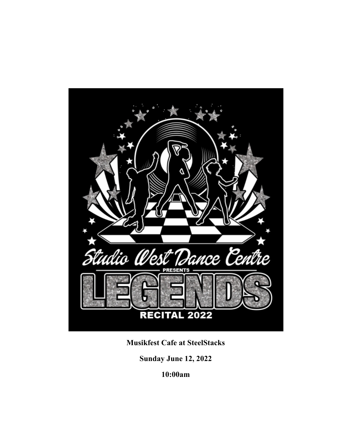

**Musikfest Cafe at SteelStacks**

**Sunday June 12, 2022**

**10:00am**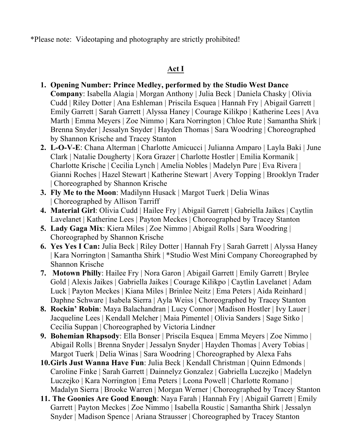\*Please note: Videotaping and photography are strictly prohibited!

# **Act I**

- **1. Opening Number: Prince Medley, performed by the Studio West Dance Company**: Isabella Alagia | Morgan Anthony | Julia Beck | Daniela Chasky | Olivia Cudd | Riley Dotter | Ana Eshleman | Priscila Esquea | Hannah Fry | Abigail Garrett | Emily Garrett | Sarah Garrett | Alyssa Haney | Courage Kilikpo | Katherine Lees | Ava Marth | Emma Meyers | Zoe Nimmo | Kara Norrington | Chloe Rute | Samantha Shirk | Brenna Snyder | Jessalyn Snyder | Hayden Thomas | Sara Woodring | Choreographed by Shannon Krische and Tracey Stanton
- **2. L-O-V-E**: Chana Alterman | Charlotte Amicucci | Julianna Amparo | Layla Baki | June Clark | Natalie Dougherty | Kora Grazer | Charlotte Hostler | Emilia Kormanik | Charlotte Krische | Cecilia Lynch | Amelia Nobles | Madelyn Pure | Eva Rivera | Gianni Roches | Hazel Stewart | Katherine Stewart | Avery Topping | Brooklyn Trader | Choreographed by Shannon Krische
- **3. Fly Me to the Moon**: Madilynn Husack | Margot Tuerk | Delia Winas | Choreographed by Allison Tarriff
- **4. Material Girl**: Olivia Cudd | Hailee Fry | Abigail Garrett | Gabriella Jaikes | Caytlin Lavelanet | Katherine Lees | Payton Meckes | Choreographed by Tracey Stanton
- **5. Lady Gaga Mix**: Kiera Miles | Zoe Nimmo | Abigail Rolls | Sara Woodring | Choreographed by Shannon Krische
- **6. Yes Yes I Can:** Julia Beck | Riley Dotter | Hannah Fry | Sarah Garrett | Alyssa Haney | Kara Norrington | Samantha Shirk | \*Studio West Mini Company Choreographed by Shannon Krische
- **7. Motown Philly**: Hailee Fry | Nora Garon | Abigail Garrett | Emily Garrett | Brylee Gold | Alexis Jaikes | Gabriella Jaikes | Courage Kilikpo | Caytlin Lavelanet | Adam Luck | Payton Meckes | Kiana Miles | Brinlee Neitz | Ema Peters | Aida Reinhard | Daphne Schware | Isabela Sierra | Ayla Weiss | Choreographed by Tracey Stanton
- **8. Rockin' Robin**: Maya Balachandran | Lucy Connor | Madison Hostler | Ivy Lauer | Jacqueline Lees | Kendall Melcher | Maia Pimentel | Olivia Sanders | Sage Sitko | Cecilia Suppan | Choreographed by Victoria Lindner
- **9. Bohemian Rhapsody**: Ella Bonser | Priscila Esquea | Emma Meyers | Zoe Nimmo | Abigail Rolls | Brenna Snyder | Jessalyn Snyder | Hayden Thomas | Avery Tobias | Margot Tuerk | Delia Winas | Sara Woodring | Choreographed by Alexa Fahs
- **10.Girls Just Wanna Have Fun**: Julia Beck | Kendall Christman | Quinn Edmonds | Caroline Finke | Sarah Garrett | Dainnelyz Gonzalez | Gabriella Luczejko | Madelyn Luczejko | Kara Norrington | Ema Peters | Leona Powell | Charlotte Romano | Madalyn Sierra | Brooke Warren | Morgan Werner | Choreographed by Tracey Stanton
- **11. The Goonies Are Good Enough**: Naya Farah | Hannah Fry | Abigail Garrett | Emily Garrett | Payton Meckes | Zoe Nimmo | Isabella Roustic | Samantha Shirk | Jessalyn Snyder | Madison Spence | Ariana Strausser | Choreographed by Tracey Stanton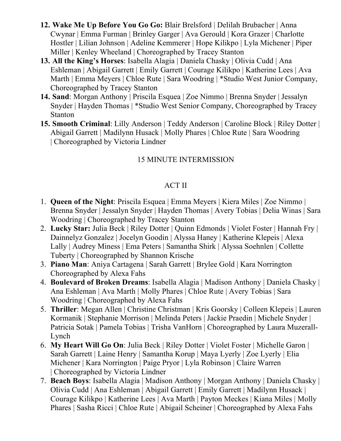- **12. Wake Me Up Before You Go Go:** Blair Brelsford | Delilah Brubacher | Anna Cwynar | Emma Furman | Brinley Garger | Ava Gerould | Kora Grazer | Charlotte Hostler | Lilian Johnson | Adeline Kemmerer | Hope Kilikpo | Lyla Michener | Piper Miller | Kenley Wheeland | Choreographed by Tracey Stanton
- **13. All the King's Horses**: Isabella Alagia | Daniela Chasky | Olivia Cudd | Ana Eshleman | Abigail Garrett | Emily Garrett | Courage Kilikpo | Katherine Lees | Ava Marth | Emma Meyers | Chloe Rute | Sara Woodring | \*Studio West Junior Company, Choreographed by Tracey Stanton
- **14. Sand**: Morgan Anthony | Priscila Esquea | Zoe Nimmo | Brenna Snyder | Jessalyn Snyder | Hayden Thomas | \*Studio West Senior Company, Choreographed by Tracey Stanton
- **15. Smooth Criminal**: Lilly Anderson | Teddy Anderson | Caroline Block | Riley Dotter | Abigail Garrett | Madilynn Husack | Molly Phares | Chloe Rute | Sara Woodring | Choreographed by Victoria Lindner

# 15 MINUTE INTERMISSION

## ACT II

- 1. **Queen of the Night**: Priscila Esquea | Emma Meyers | Kiera Miles | Zoe Nimmo | Brenna Snyder | Jessalyn Snyder | Hayden Thomas | Avery Tobias | Delia Winas | Sara Woodring | Choreographed by Tracey Stanton
- 2. **Lucky Star:** Julia Beck | Riley Dotter | Quinn Edmonds | Violet Foster | Hannah Fry | Dainnelyz Gonzalez | Jocelyn Goodin | Alyssa Haney | Katherine Klepeis | Alexa Lally | Audrey Miness | Ema Peters | Samantha Shirk | Alyssa Soehnlen | Collette Tuberty | Choreographed by Shannon Krische
- 3. **Piano Man**: Aniya Cartagena | Sarah Garrett | Brylee Gold | Kara Norrington Choreographed by Alexa Fahs
- 4. **Boulevard of Broken Dreams**: Isabella Alagia | Madison Anthony | Daniela Chasky | Ana Eshleman | Ava Marth | Molly Phares | Chloe Rute | Avery Tobias | Sara Woodring | Choreographed by Alexa Fahs
- 5. **Thriller**: Megan Allen | Christine Christman | Kris Goorsky | Colleen Klepeis | Lauren Kormanik | Stephanie Morrison | Melinda Peters | Jackie Praedin | Michele Snyder | Patricia Sotak | Pamela Tobias | Trisha VanHorn | Choreographed by Laura Muzerall-Lynch
- 6. **My Heart Will Go On**: Julia Beck | Riley Dotter | Violet Foster | Michelle Garon | Sarah Garrett | Laine Henry | Samantha Korup | Maya Lyerly | Zoe Lyerly | Elia Michener | Kara Norrington | Paige Pryor | Lyla Robinson | Claire Warren | Choreographed by Victoria Lindner
- 7. **Beach Boys**: Isabella Alagia | Madison Anthony | Morgan Anthony | Daniela Chasky | Olivia Cudd | Ana Eshleman | Abigail Garrett | Emily Garrett | Madilynn Husack | Courage Kilikpo | Katherine Lees | Ava Marth | Payton Meckes | Kiana Miles | Molly Phares | Sasha Ricci | Chloe Rute | Abigail Scheiner | Choreographed by Alexa Fahs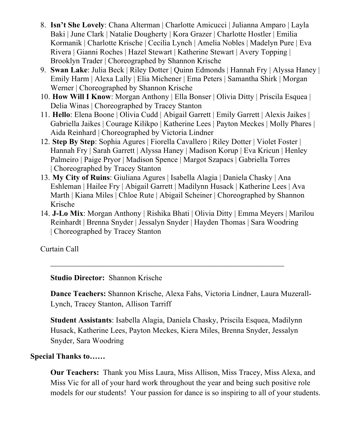- 8. **Isn't She Lovely**: Chana Alterman | Charlotte Amicucci | Julianna Amparo | Layla Baki | June Clark | Natalie Dougherty | Kora Grazer | Charlotte Hostler | Emilia Kormanik | Charlotte Krische | Cecilia Lynch | Amelia Nobles | Madelyn Pure | Eva Rivera | Gianni Roches | Hazel Stewart | Katherine Stewart | Avery Topping | Brooklyn Trader | Choreographed by Shannon Krische
- 9. **Swan Lake**: Julia Beck | Riley Dotter | Quinn Edmonds | Hannah Fry | Alyssa Haney | Emily Harm | Alexa Lally | Elia Michener | Ema Peters | Samantha Shirk | Morgan Werner | Choreographed by Shannon Krische
- 10. **How Will I Know**: Morgan Anthony | Ella Bonser | Olivia Ditty | Priscila Esquea | Delia Winas | Choreographed by Tracey Stanton
- 11. **Hello**: Elena Boone | Olivia Cudd | Abigail Garrett | Emily Garrett | Alexis Jaikes | Gabriella Jaikes | Courage Kilikpo | Katherine Lees | Payton Meckes | Molly Phares | Aida Reinhard | Choreographed by Victoria Lindner
- 12. **Step By Step**: Sophia Agures | Fiorella Cavallero | Riley Dotter | Violet Foster | Hannah Fry | Sarah Garrett | Alyssa Haney | Madison Korup | Eva Kricun | Henley Palmeiro | Paige Pryor | Madison Spence | Margot Szapacs | Gabriella Torres | Choreographed by Tracey Stanton
- 13. **My City of Ruins**: Giuliana Agures | Isabella Alagia | Daniela Chasky | Ana Eshleman | Hailee Fry | Abigail Garrett | Madilynn Husack | Katherine Lees | Ava Marth | Kiana Miles | Chloe Rute | Abigail Scheiner | Choreographed by Shannon Krische
- 14. **J-Lo Mix**: Morgan Anthony | Rishika Bhati | Olivia Ditty | Emma Meyers | Marilou Reinhardt | Brenna Snyder | Jessalyn Snyder | Hayden Thomas | Sara Woodring | Choreographed by Tracey Stanton

Curtain Call

**Studio Director:** Shannon Krische

**Dance Teachers:** Shannon Krische, Alexa Fahs, Victoria Lindner, Laura Muzerall-Lynch, Tracey Stanton, Allison Tarriff

**Student Assistants**: Isabella Alagia, Daniela Chasky, Priscila Esquea, Madilynn Husack, Katherine Lees, Payton Meckes, Kiera Miles, Brenna Snyder, Jessalyn Snyder, Sara Woodring

## **Special Thanks to……**

**Our Teachers:** Thank you Miss Laura, Miss Allison, Miss Tracey, Miss Alexa, and Miss Vic for all of your hard work throughout the year and being such positive role models for our students! Your passion for dance is so inspiring to all of your students.